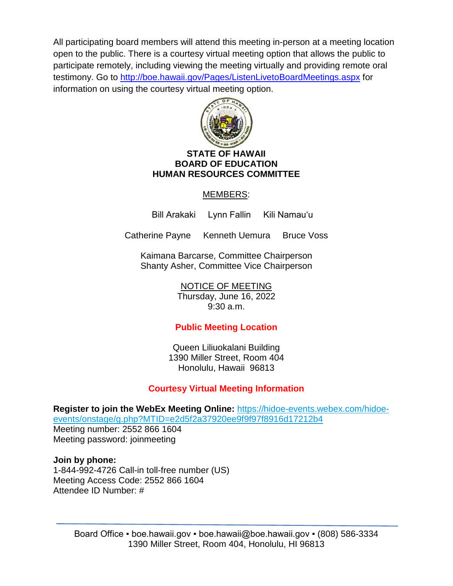All participating board members will attend this meeting in-person at a meeting location open to the public. There is a courtesy virtual meeting option that allows the public to participate remotely, including viewing the meeting virtually and providing remote oral testimony. Go to<http://boe.hawaii.gov/Pages/ListenLivetoBoardMeetings.aspx> for information on using the courtesy virtual meeting option.



### **STATE OF HAWAII BOARD OF EDUCATION HUMAN RESOURCES COMMITTEE**

# MEMBERS:

Bill Arakaki Lynn Fallin Kili Namauʻu

Catherine Payne Kenneth Uemura Bruce Voss

Kaimana Barcarse, Committee Chairperson Shanty Asher, Committee Vice Chairperson

> NOTICE OF MEETING Thursday, June 16, 2022 9:30 a.m.

# **Public Meeting Location**

Queen Liliuokalani Building 1390 Miller Street, Room 404 Honolulu, Hawaii 96813

# **Courtesy Virtual Meeting Information**

**Register to join the WebEx Meeting Online:** [https://hidoe-events.webex.com/hidoe](https://hidoe-events.webex.com/hidoe-events/onstage/g.php?MTID=e2d5f2a37920ee9f9f97f8916d17212b4)[events/onstage/g.php?MTID=e2d5f2a37920ee9f9f97f8916d17212b4](https://hidoe-events.webex.com/hidoe-events/onstage/g.php?MTID=e2d5f2a37920ee9f9f97f8916d17212b4) Meeting number: 2552 866 1604 Meeting password: joinmeeting

## **Join by phone:**

1-844-992-4726 Call-in toll-free number (US) Meeting Access Code: 2552 866 1604 Attendee ID Number: #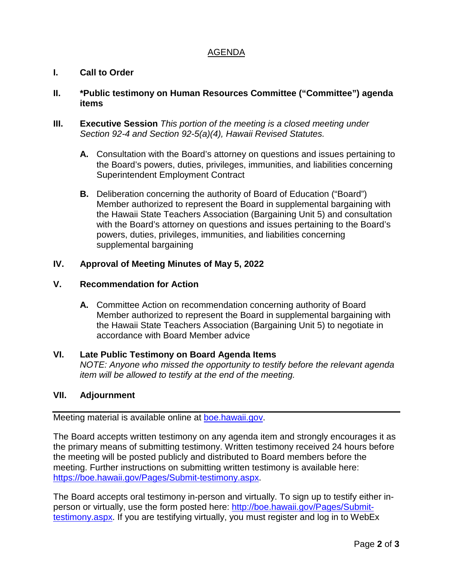# AGENDA

# **I. Call to Order**

## **II. \*Public testimony on Human Resources Committee ("Committee") agenda items**

- **III. Executive Session** *This portion of the meeting is a closed meeting under Section 92-4 and Section 92-5(a)(4), Hawaii Revised Statutes.*
	- **A.** Consultation with the Board's attorney on questions and issues pertaining to the Board's powers, duties, privileges, immunities, and liabilities concerning Superintendent Employment Contract
	- **B.** Deliberation concerning the authority of Board of Education ("Board") Member authorized to represent the Board in supplemental bargaining with the Hawaii State Teachers Association (Bargaining Unit 5) and consultation with the Board's attorney on questions and issues pertaining to the Board's powers, duties, privileges, immunities, and liabilities concerning supplemental bargaining

## **IV. Approval of Meeting Minutes of May 5, 2022**

### **V. Recommendation for Action**

**A.** Committee Action on recommendation concerning authority of Board Member authorized to represent the Board in supplemental bargaining with the Hawaii State Teachers Association (Bargaining Unit 5) to negotiate in accordance with Board Member advice

#### **VI. Late Public Testimony on Board Agenda Items**

*NOTE: Anyone who missed the opportunity to testify before the relevant agenda item will be allowed to testify at the end of the meeting.*

#### **VII. Adjournment**

Meeting material is available online at [boe.hawaii.gov.](http://boe.hawaii.gov/Pages/Welcome.aspx)

The Board accepts written testimony on any agenda item and strongly encourages it as the primary means of submitting testimony. Written testimony received 24 hours before the meeting will be posted publicly and distributed to Board members before the meeting. Further instructions on submitting written testimony is available here: [https://boe.hawaii.gov/Pages/Submit-testimony.aspx.](https://boe.hawaii.gov/Pages/Submit-testimony.aspx)

The Board accepts oral testimony in-person and virtually. To sign up to testify either inperson or virtually, use the form posted here: [http://boe.hawaii.gov/Pages/Submit](http://boe.hawaii.gov/Pages/Submit-testimony.aspx)[testimony.aspx.](http://boe.hawaii.gov/Pages/Submit-testimony.aspx) If you are testifying virtually, you must register and log in to WebEx